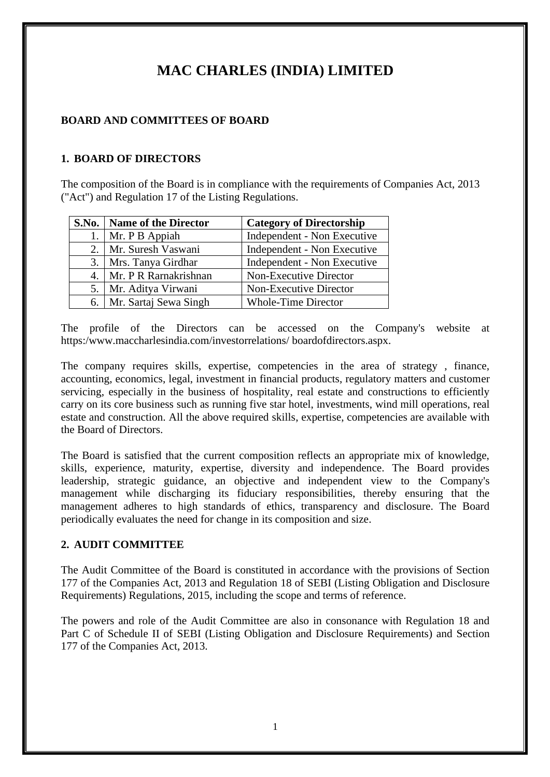# **MAC CHARLES (INDIA) LIMITED**

### **BOARD AND COMMITTEES OF BOARD**

## **1. BOARD OF DIRECTORS**

The composition of the Board is in compliance with the requirements of Companies Act, 2013 ("Act") and Regulation 17 of the Listing Regulations.

|     | S.No.   Name of the Director | <b>Category of Directorship</b> |
|-----|------------------------------|---------------------------------|
|     | Mr. P B Appiah               | Independent - Non Executive     |
|     | 2.   Mr. Suresh Vaswani      | Independent - Non Executive     |
| 3.1 | Mrs. Tanya Girdhar           | Independent - Non Executive     |
|     | 4. Mr. P R Rarnakrishnan     | Non-Executive Director          |
| 5.  | Mr. Aditya Virwani           | Non-Executive Director          |
|     | 6. Mr. Sartaj Sewa Singh     | <b>Whole-Time Director</b>      |

The profile of the Directors can be accessed on the Company's website at https:/www.maccharlesindia.com/investorrelations/ boardofdirectors.aspx.

The company requires skills, expertise, competencies in the area of strategy , finance, accounting, economics, legal, investment in financial products, regulatory matters and customer servicing, especially in the business of hospitality, real estate and constructions to efficiently carry on its core business such as running five star hotel, investments, wind mill operations, real estate and construction. All the above required skills, expertise, competencies are available with the Board of Directors.

The Board is satisfied that the current composition reflects an appropriate mix of knowledge, skills, experience, maturity, expertise, diversity and independence. The Board provides leadership, strategic guidance, an objective and independent view to the Company's management while discharging its fiduciary responsibilities, thereby ensuring that the management adheres to high standards of ethics, transparency and disclosure. The Board periodically evaluates the need for change in its composition and size.

#### **2. AUDIT COMMITTEE**

The Audit Committee of the Board is constituted in accordance with the provisions of Section 177 of the Companies Act, 2013 and Regulation 18 of SEBI (Listing Obligation and Disclosure Requirements) Regulations, 2015, including the scope and terms of reference.

The powers and role of the Audit Committee are also in consonance with Regulation 18 and Part C of Schedule II of SEBI (Listing Obligation and Disclosure Requirements) and Section 177 of the Companies Act, 2013.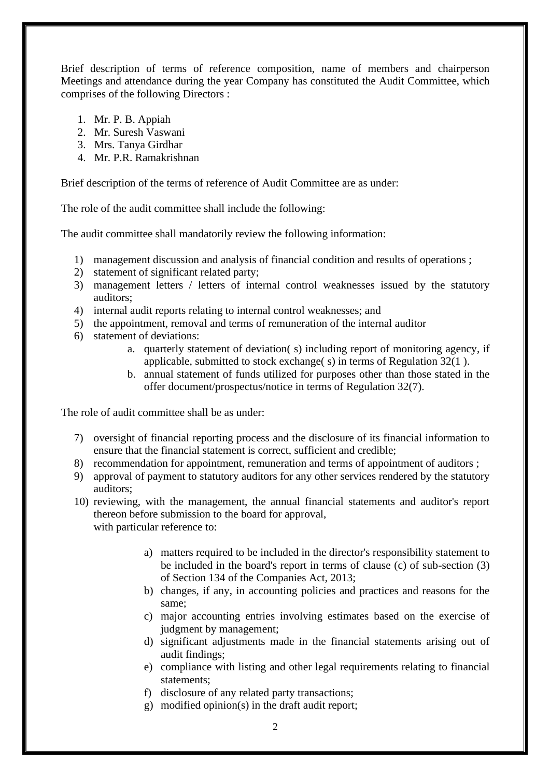Brief description of terms of reference composition, name of members and chairperson Meetings and attendance during the year Company has constituted the Audit Committee, which comprises of the following Directors :

- 1. Mr. P. B. Appiah
- 2. Mr. Suresh Vaswani
- 3. Mrs. Tanya Girdhar
- 4. Mr. P.R. Ramakrishnan

Brief description of the terms of reference of Audit Committee are as under:

The role of the audit committee shall include the following:

The audit committee shall mandatorily review the following information:

- 1) management discussion and analysis of financial condition and results of operations ;
- 2) statement of significant related party;
- 3) management letters / letters of internal control weaknesses issued by the statutory auditors;
- 4) internal audit reports relating to internal control weaknesses; and
- 5) the appointment, removal and terms of remuneration of the internal auditor
- 6) statement of deviations:
	- a. quarterly statement of deviation( s) including report of monitoring agency, if applicable, submitted to stock exchange( s) in terms of Regulation 32(1 ).
	- b. annual statement of funds utilized for purposes other than those stated in the offer document/prospectus/notice in terms of Regulation 32(7).

The role of audit committee shall be as under:

- 7) oversight of financial reporting process and the disclosure of its financial information to ensure that the financial statement is correct, sufficient and credible;
- 8) recommendation for appointment, remuneration and terms of appointment of auditors ;
- 9) approval of payment to statutory auditors for any other services rendered by the statutory auditors;
- 10) reviewing, with the management, the annual financial statements and auditor's report thereon before submission to the board for approval, with particular reference to:
	- a) matters required to be included in the director's responsibility statement to be included in the board's report in terms of clause (c) of sub-section (3) of Section 134 of the Companies Act, 2013;
	- b) changes, if any, in accounting policies and practices and reasons for the same;
	- c) major accounting entries involving estimates based on the exercise of judgment by management;
	- d) significant adjustments made in the financial statements arising out of audit findings;
	- e) compliance with listing and other legal requirements relating to financial statements;
	- f) disclosure of any related party transactions;
	- g) modified opinion(s) in the draft audit report;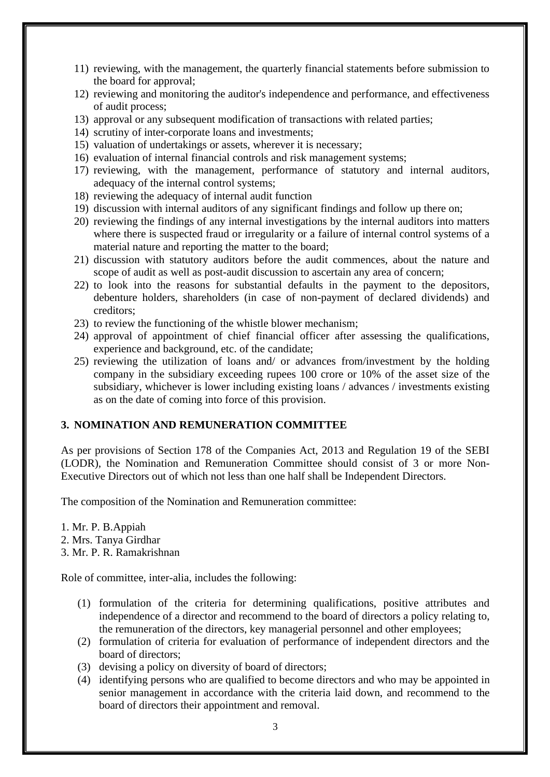- 11) reviewing, with the management, the quarterly financial statements before submission to the board for approval;
- 12) reviewing and monitoring the auditor's independence and performance, and effectiveness of audit process;
- 13) approval or any subsequent modification of transactions with related parties;
- 14) scrutiny of inter-corporate loans and investments;
- 15) valuation of undertakings or assets, wherever it is necessary;
- 16) evaluation of internal financial controls and risk management systems;
- 17) reviewing, with the management, performance of statutory and internal auditors, adequacy of the internal control systems;
- 18) reviewing the adequacy of internal audit function
- 19) discussion with internal auditors of any significant findings and follow up there on;
- 20) reviewing the findings of any internal investigations by the internal auditors into matters where there is suspected fraud or irregularity or a failure of internal control systems of a material nature and reporting the matter to the board;
- 21) discussion with statutory auditors before the audit commences, about the nature and scope of audit as well as post-audit discussion to ascertain any area of concern;
- 22) to look into the reasons for substantial defaults in the payment to the depositors, debenture holders, shareholders (in case of non-payment of declared dividends) and creditors;
- 23) to review the functioning of the whistle blower mechanism;
- 24) approval of appointment of chief financial officer after assessing the qualifications, experience and background, etc. of the candidate;
- 25) reviewing the utilization of loans and/ or advances from/investment by the holding company in the subsidiary exceeding rupees 100 crore or 10% of the asset size of the subsidiary, whichever is lower including existing loans / advances / investments existing as on the date of coming into force of this provision.

#### **3. NOMINATION AND REMUNERATION COMMITTEE**

As per provisions of Section 178 of the Companies Act, 2013 and Regulation 19 of the SEBI (LODR), the Nomination and Remuneration Committee should consist of 3 or more Non-Executive Directors out of which not less than one half shall be Independent Directors.

The composition of the Nomination and Remuneration committee:

1. Mr. P. B.Appiah

2. Mrs. Tanya Girdhar

3. Mr. P. R. Ramakrishnan

Role of committee, inter-alia, includes the following:

- (1) formulation of the criteria for determining qualifications, positive attributes and independence of a director and recommend to the board of directors a policy relating to, the remuneration of the directors, key managerial personnel and other employees;
- (2) formulation of criteria for evaluation of performance of independent directors and the board of directors;
- (3) devising a policy on diversity of board of directors;
- (4) identifying persons who are qualified to become directors and who may be appointed in senior management in accordance with the criteria laid down, and recommend to the board of directors their appointment and removal.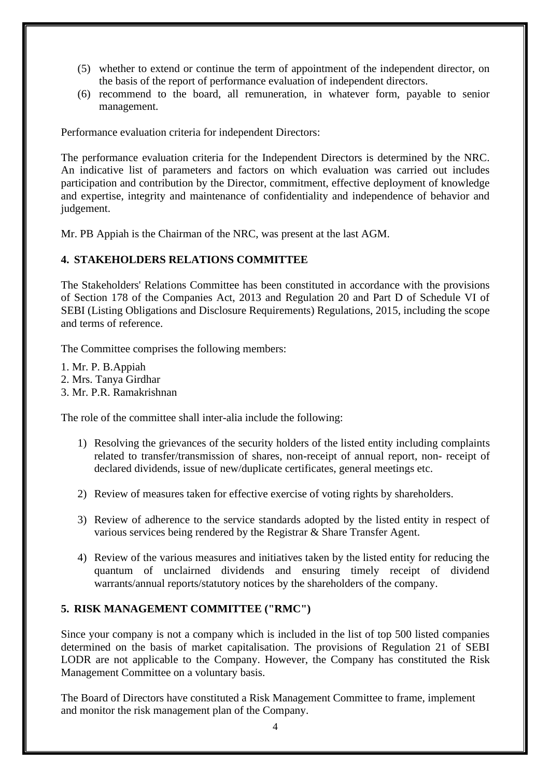- (5) whether to extend or continue the term of appointment of the independent director, on the basis of the report of performance evaluation of independent directors.
- (6) recommend to the board, all remuneration, in whatever form, payable to senior management.

Performance evaluation criteria for independent Directors:

The performance evaluation criteria for the Independent Directors is determined by the NRC. An indicative list of parameters and factors on which evaluation was carried out includes participation and contribution by the Director, commitment, effective deployment of knowledge and expertise, integrity and maintenance of confidentiality and independence of behavior and judgement.

Mr. PB Appiah is the Chairman of the NRC, was present at the last AGM.

## **4. STAKEHOLDERS RELATIONS COMMITTEE**

The Stakeholders' Relations Committee has been constituted in accordance with the provisions of Section 178 of the Companies Act, 2013 and Regulation 20 and Part D of Schedule VI of SEBI (Listing Obligations and Disclosure Requirements) Regulations, 2015, including the scope and terms of reference.

The Committee comprises the following members:

- 1. Mr. P. B.Appiah
- 2. Mrs. Tanya Girdhar
- 3. Mr. P.R. Ramakrishnan

The role of the committee shall inter-alia include the following:

- 1) Resolving the grievances of the security holders of the listed entity including complaints related to transfer/transmission of shares, non-receipt of annual report, non- receipt of declared dividends, issue of new/duplicate certificates, general meetings etc.
- 2) Review of measures taken for effective exercise of voting rights by shareholders.
- 3) Review of adherence to the service standards adopted by the listed entity in respect of various services being rendered by the Registrar & Share Transfer Agent.
- 4) Review of the various measures and initiatives taken by the listed entity for reducing the quantum of unclairned dividends and ensuring timely receipt of dividend warrants/annual reports/statutory notices by the shareholders of the company.

#### **5. RISK MANAGEMENT COMMITTEE ("RMC")**

Since your company is not a company which is included in the list of top 500 listed companies determined on the basis of market capitalisation. The provisions of Regulation 21 of SEBI LODR are not applicable to the Company. However, the Company has constituted the Risk Management Committee on a voluntary basis.

The Board of Directors have constituted a Risk Management Committee to frame, implement and monitor the risk management plan of the Company.